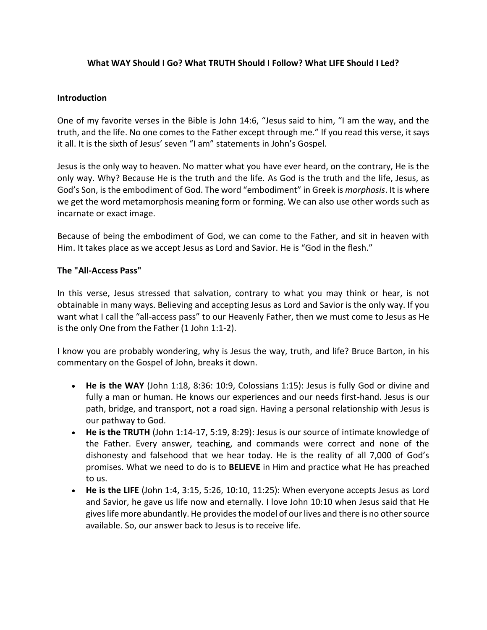# **What WAY Should I Go? What TRUTH Should I Follow? What LIFE Should I Led?**

## **Introduction**

One of my favorite verses in the Bible is John 14:6, "Jesus said to him, "I am the way, and the truth, and the life. No one comes to the Father except through me." If you read this verse, it says it all. It is the sixth of Jesus' seven "I am" statements in John's Gospel.

Jesus is the only way to heaven. No matter what you have ever heard, on the contrary, He is the only way. Why? Because He is the truth and the life. As God is the truth and the life, Jesus, as God's Son, is the embodiment of God. The word "embodiment" in Greek is *morphosis*. It is where we get the word metamorphosis meaning form or forming. We can also use other words such as incarnate or exact image.

Because of being the embodiment of God, we can come to the Father, and sit in heaven with Him. It takes place as we accept Jesus as Lord and Savior. He is "God in the flesh."

#### **The "All-Access Pass"**

In this verse, Jesus stressed that salvation, contrary to what you may think or hear, is not obtainable in many ways. Believing and accepting Jesus as Lord and Savior is the only way. If you want what I call the "all-access pass" to our Heavenly Father, then we must come to Jesus as He is the only One from the Father (1 John 1:1-2).

I know you are probably wondering, why is Jesus the way, truth, and life? Bruce Barton, in his commentary on the Gospel of John, breaks it down.

- **He is the WAY** (John 1:18, 8:36: 10:9, Colossians 1:15): Jesus is fully God or divine and fully a man or human. He knows our experiences and our needs first-hand. Jesus is our path, bridge, and transport, not a road sign. Having a personal relationship with Jesus is our pathway to God.
- **He is the TRUTH** (John 1:14-17, 5:19, 8:29): Jesus is our source of intimate knowledge of the Father. Every answer, teaching, and commands were correct and none of the dishonesty and falsehood that we hear today. He is the reality of all 7,000 of God's promises. What we need to do is to **BELIEVE** in Him and practice what He has preached to us.
- **He is the LIFE** (John 1:4, 3:15, 5:26, 10:10, 11:25): When everyone accepts Jesus as Lord and Savior, he gave us life now and eternally. I love John 10:10 when Jesus said that He gives life more abundantly. He provides the model of our lives and there is no other source available. So, our answer back to Jesus is to receive life.